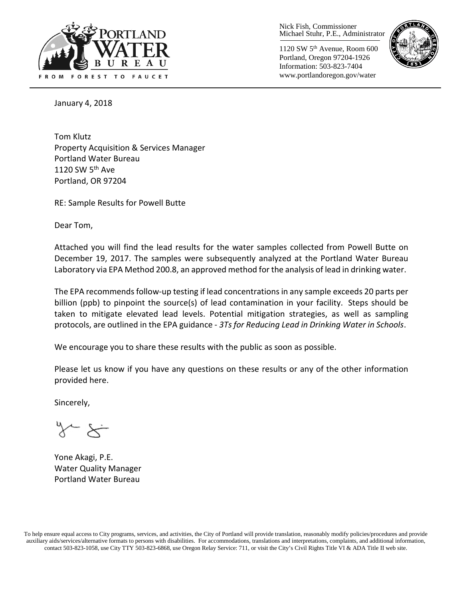

Nick Fish, Commissioner Michael Stuhr, P.E., Administrator

1120 SW 5th Avenue, Room 600 Portland, Oregon 97204-1926 Information: 503-823-7404 www.portlandoregon.gov/water



January 4, 2018

Tom Klutz Property Acquisition & Services Manager Portland Water Bureau 1120 SW  $5<sup>th</sup>$  Ave Portland, OR 97204

RE: Sample Results for Powell Butte

Dear Tom,

Attached you will find the lead results for the water samples collected from Powell Butte on December 19, 2017. The samples were subsequently analyzed at the Portland Water Bureau Laboratory via EPA Method 200.8, an approved method for the analysis of lead in drinking water.

The EPA recommends follow-up testing if lead concentrations in any sample exceeds 20 parts per billion (ppb) to pinpoint the source(s) of lead contamination in your facility. Steps should be taken to mitigate elevated lead levels. Potential mitigation strategies, as well as sampling protocols, are outlined in the EPA guidance - *3Ts for Reducing Lead in Drinking Water in Schools*.

We encourage you to share these results with the public as soon as possible.

Please let us know if you have any questions on these results or any of the other information provided here.

Sincerely,

 $\sim$   $\approx$ 

Yone Akagi, P.E. Water Quality Manager Portland Water Bureau

To help ensure equal access to City programs, services, and activities, the City of Portland will provide translation, reasonably modify policies/procedures and provide auxiliary aids/services/alternative formats to persons with disabilities. For accommodations, translations and interpretations, complaints, and additional information, contact 503-823-1058, use City TTY 503-823-6868, use Oregon Relay Service: 711, or visi[t the City's Civil Rights Title VI & ADA Title II web site.](http://www.portlandoregon.gov/oehr/66458)